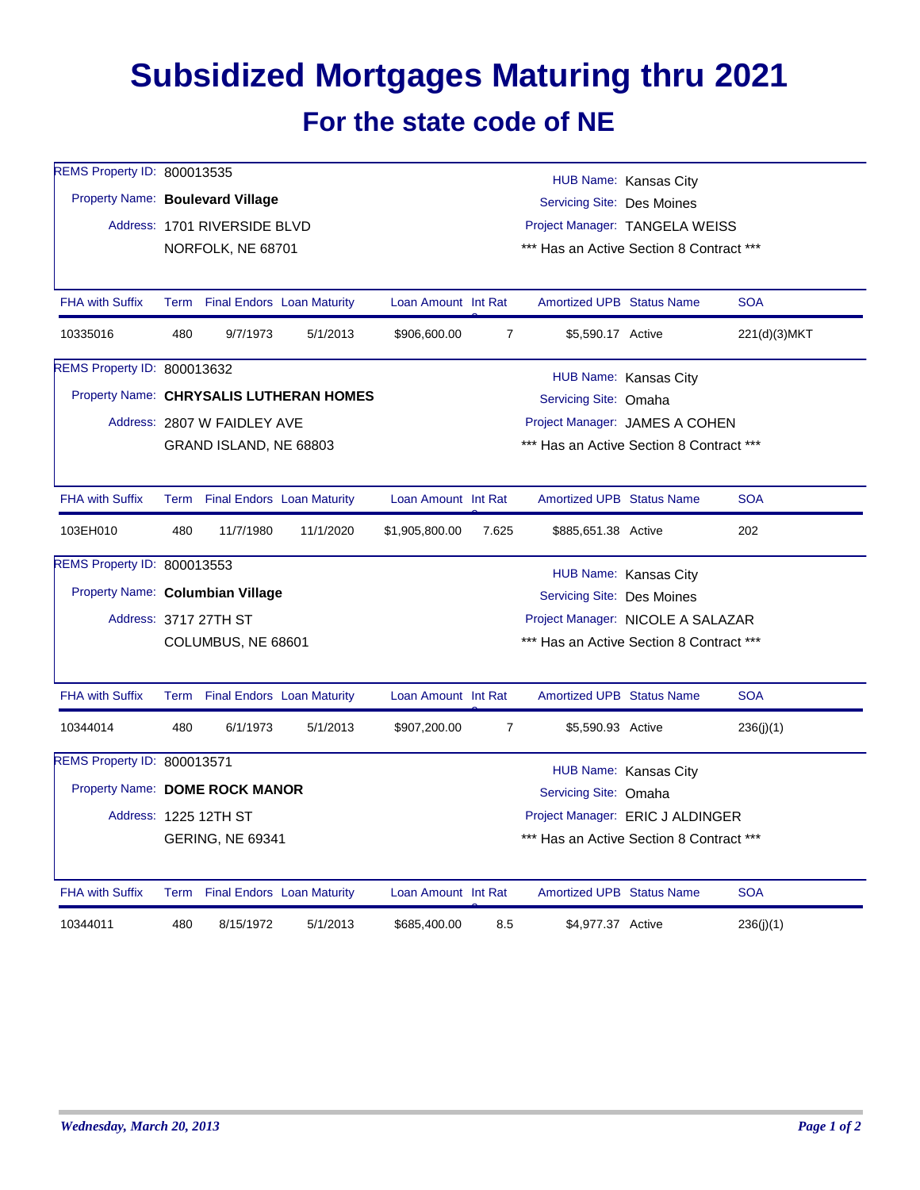## **Subsidized Mortgages Maturing thru 2021 For the state code of NE**

| REMS Property ID: 800013535      |                                                                                  |                                 |                                         |                                   |                                          |                                          | HUB Name: Kansas City |              |  |  |  |
|----------------------------------|----------------------------------------------------------------------------------|---------------------------------|-----------------------------------------|-----------------------------------|------------------------------------------|------------------------------------------|-----------------------|--------------|--|--|--|
| Property Name: Boulevard Village |                                                                                  |                                 |                                         |                                   | Servicing Site: Des Moines               |                                          |                       |              |  |  |  |
|                                  |                                                                                  | Address: 1701 RIVERSIDE BLVD    |                                         |                                   |                                          | Project Manager: TANGELA WEISS           |                       |              |  |  |  |
|                                  |                                                                                  | NORFOLK, NE 68701               |                                         |                                   | *** Has an Active Section 8 Contract *** |                                          |                       |              |  |  |  |
|                                  |                                                                                  |                                 |                                         |                                   |                                          |                                          |                       |              |  |  |  |
| <b>FHA with Suffix</b>           |                                                                                  | Term Final Endors Loan Maturity |                                         | Loan Amount Int Rat               |                                          | <b>Amortized UPB Status Name</b>         |                       | <b>SOA</b>   |  |  |  |
| 10335016                         | 480                                                                              | 9/7/1973                        | 5/1/2013                                | \$906,600.00                      | $\overline{7}$                           | \$5,590.17 Active                        |                       | 221(d)(3)MKT |  |  |  |
| REMS Property ID: 800013632      | HUB Name: Kansas City                                                            |                                 |                                         |                                   |                                          |                                          |                       |              |  |  |  |
|                                  |                                                                                  |                                 | Property Name: CHRYSALIS LUTHERAN HOMES |                                   |                                          | Servicing Site: Omaha                    |                       |              |  |  |  |
|                                  |                                                                                  | Address: 2807 W FAIDLEY AVE     |                                         |                                   | Project Manager: JAMES A COHEN           |                                          |                       |              |  |  |  |
|                                  | GRAND ISLAND, NE 68803                                                           |                                 |                                         |                                   |                                          | *** Has an Active Section 8 Contract *** |                       |              |  |  |  |
|                                  |                                                                                  |                                 |                                         |                                   |                                          |                                          |                       |              |  |  |  |
| <b>FHA with Suffix</b>           |                                                                                  | Term Final Endors Loan Maturity |                                         | Loan Amount Int Rat               |                                          | <b>Amortized UPB Status Name</b>         |                       | <b>SOA</b>   |  |  |  |
| 103EH010                         | 480                                                                              | 11/7/1980                       | 11/1/2020                               | \$1,905,800.00                    | 7.625                                    | \$885,651.38 Active                      |                       | 202          |  |  |  |
| REMS Property ID: 800013553      |                                                                                  |                                 |                                         |                                   |                                          |                                          | HUB Name: Kansas City |              |  |  |  |
| Property Name: Columbian Village |                                                                                  |                                 |                                         |                                   | <b>Servicing Site: Des Moines</b>        |                                          |                       |              |  |  |  |
|                                  |                                                                                  | Address: 3717 27TH ST           |                                         | Project Manager: NICOLE A SALAZAR |                                          |                                          |                       |              |  |  |  |
|                                  |                                                                                  | COLUMBUS, NE 68601              |                                         |                                   |                                          | *** Has an Active Section 8 Contract *** |                       |              |  |  |  |
|                                  |                                                                                  |                                 |                                         |                                   |                                          |                                          |                       |              |  |  |  |
| <b>FHA with Suffix</b>           |                                                                                  | Term Final Endors Loan Maturity |                                         | Loan Amount Int Rat               |                                          | <b>Amortized UPB Status Name</b>         |                       | <b>SOA</b>   |  |  |  |
| 10344014                         | 480                                                                              | 6/1/1973                        | 5/1/2013                                | \$907,200.00                      | $\overline{7}$                           | \$5,590.93 Active                        |                       | 236(j)(1)    |  |  |  |
| REMS Property ID: 800013571      |                                                                                  |                                 |                                         |                                   |                                          |                                          |                       |              |  |  |  |
|                                  | HUB Name: Kansas City<br>Property Name: DOME ROCK MANOR<br>Servicing Site: Omaha |                                 |                                         |                                   |                                          |                                          |                       |              |  |  |  |
|                                  |                                                                                  | Address: 1225 12TH ST           |                                         |                                   | Project Manager: ERIC J ALDINGER         |                                          |                       |              |  |  |  |
|                                  | *** Has an Active Section 8 Contract ***<br><b>GERING, NE 69341</b>              |                                 |                                         |                                   |                                          |                                          |                       |              |  |  |  |
|                                  |                                                                                  |                                 |                                         |                                   |                                          |                                          |                       |              |  |  |  |
| <b>FHA with Suffix</b>           |                                                                                  | Term Final Endors Loan Maturity |                                         | Loan Amount Int Rat               |                                          | <b>Amortized UPB Status Name</b>         |                       | <b>SOA</b>   |  |  |  |
| 10344011                         | 480                                                                              | 8/15/1972                       | 5/1/2013                                | \$685,400.00                      | 8.5                                      | \$4,977.37 Active                        |                       | 236(j)(1)    |  |  |  |